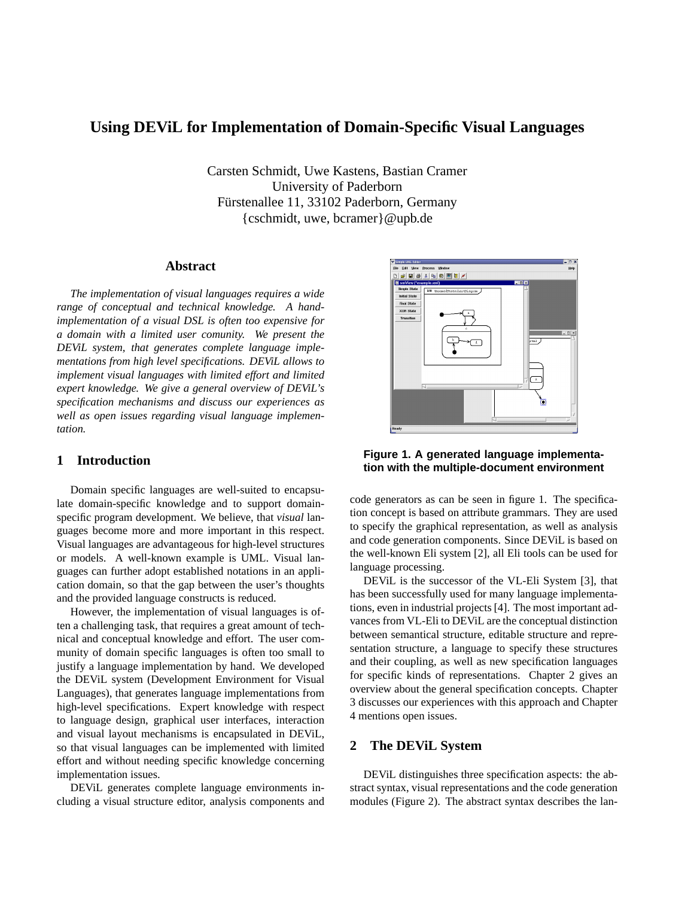# **Using DEViL for Implementation of Domain-Specific Visual Languages**

Carsten Schmidt, Uwe Kastens, Bastian Cramer University of Paderborn Fürstenallee 11, 33102 Paderborn, Germany {cschmidt, uwe, bcramer}@upb.de

#### **Abstract**

*The implementation of visual languages requires a wide range of conceptual and technical knowledge. A handimplementation of a visual DSL is often too expensive for a domain with a limited user comunity. We present the DEViL system, that generates complete language implementations from high level specifications. DEViL allows to implement visual languages with limited effort and limited expert knowledge. We give a general overview of DEViL's specification mechanisms and discuss our experiences as well as open issues regarding visual language implementation.*

# **1 Introduction**

Domain specific languages are well-suited to encapsulate domain-specific knowledge and to support domainspecific program development. We believe, that *visual* languages become more and more important in this respect. Visual languages are advantageous for high-level structures or models. A well-known example is UML. Visual languages can further adopt established notations in an application domain, so that the gap between the user's thoughts and the provided language constructs is reduced.

However, the implementation of visual languages is often a challenging task, that requires a great amount of technical and conceptual knowledge and effort. The user community of domain specific languages is often too small to justify a language implementation by hand. We developed the DEViL system (Development Environment for Visual Languages), that generates language implementations from high-level specifications. Expert knowledge with respect to language design, graphical user interfaces, interaction and visual layout mechanisms is encapsulated in DEViL, so that visual languages can be implemented with limited effort and without needing specific knowledge concerning implementation issues.

DEViL generates complete language environments including a visual structure editor, analysis components and



**Figure 1. A generated language implementation with the multiple-document environment**

code generators as can be seen in figure 1. The specification concept is based on attribute grammars. They are used to specify the graphical representation, as well as analysis and code generation components. Since DEViL is based on the well-known Eli system [2], all Eli tools can be used for language processing.

DEViL is the successor of the VL-Eli System [3], that has been successfully used for many language implementations, even in industrial projects [4]. The most important advances from VL-Eli to DEViL are the conceptual distinction between semantical structure, editable structure and representation structure, a language to specify these structures and their coupling, as well as new specification languages for specific kinds of representations. Chapter 2 gives an overview about the general specification concepts. Chapter 3 discusses our experiences with this approach and Chapter 4 mentions open issues.

## **2 The DEViL System**

DEViL distinguishes three specification aspects: the abstract syntax, visual representations and the code generation modules (Figure 2). The abstract syntax describes the lan-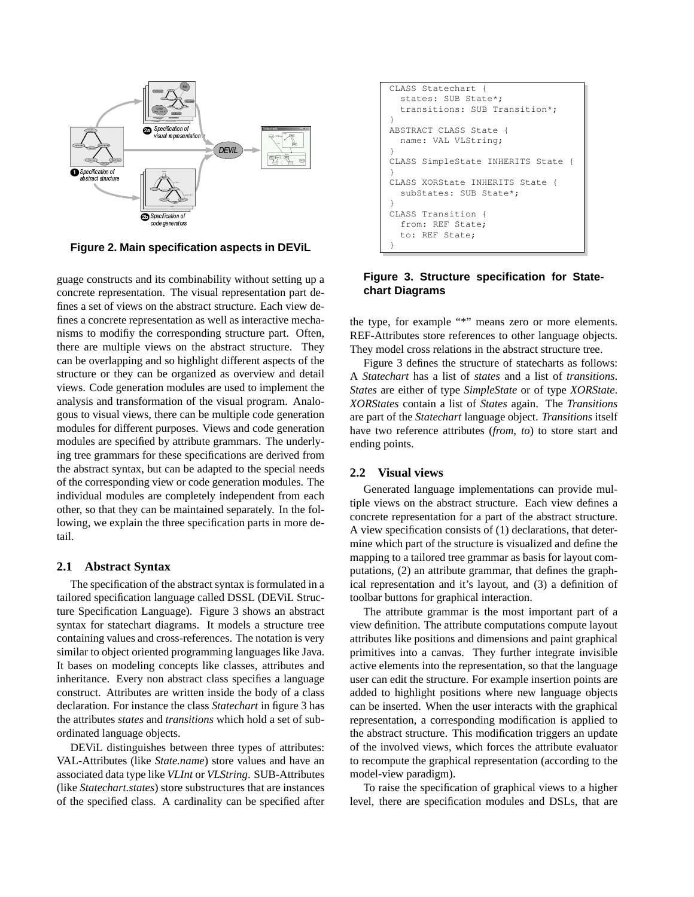

**Figure 2. Main specification aspects in DEViL**

guage constructs and its combinability without setting up a concrete representation. The visual representation part defines a set of views on the abstract structure. Each view defines a concrete representation as well as interactive mechanisms to modifiy the corresponding structure part. Often, there are multiple views on the abstract structure. They can be overlapping and so highlight different aspects of the structure or they can be organized as overview and detail views. Code generation modules are used to implement the analysis and transformation of the visual program. Analogous to visual views, there can be multiple code generation modules for different purposes. Views and code generation modules are specified by attribute grammars. The underlying tree grammars for these specifications are derived from the abstract syntax, but can be adapted to the special needs of the corresponding view or code generation modules. The individual modules are completely independent from each other, so that they can be maintained separately. In the following, we explain the three specification parts in more detail.

#### **2.1 Abstract Syntax**

The specification of the abstract syntax is formulated in a tailored specification language called DSSL (DEViL Structure Specification Language). Figure 3 shows an abstract syntax for statechart diagrams. It models a structure tree containing values and cross-references. The notation is very similar to object oriented programming languages like Java. It bases on modeling concepts like classes, attributes and inheritance. Every non abstract class specifies a language construct. Attributes are written inside the body of a class declaration. For instance the class *Statechart* in figure 3 has the attributes *states* and *transitions* which hold a set of subordinated language objects.

DEViL distinguishes between three types of attributes: VAL-Attributes (like *State.name*) store values and have an associated data type like *VLInt* or *VLString*. SUB-Attributes (like *Statechart.states*) store substructures that are instances of the specified class. A cardinality can be specified after

```
CLASS Statechart
  states: SUB State*;
  transitions: SUB Transition*;
}
ABSTRACT CLASS State
  name: VAL VLString;
}
CLASS SimpleState INHERITS State {
}
CLASS XORState INHERITS State {
  subStates: SUB State*;
}
CLASS Transition {
  from: REF State;
  to: REF State;
}
```
## **Figure 3. Structure specification for Statechart Diagrams**

the type, for example "\*" means zero or more elements. REF-Attributes store references to other language objects. They model cross relations in the abstract structure tree.

Figure 3 defines the structure of statecharts as follows: A *Statechart* has a list of *states* and a list of *transitions*. *States* are either of type *SimpleState* or of type *XORState*. *XORStates* contain a list of *States* again. The *Transitions* are part of the *Statechart* language object. *Transitions* itself have two reference attributes (*from*, *to*) to store start and ending points.

### **2.2 Visual views**

Generated language implementations can provide multiple views on the abstract structure. Each view defines a concrete representation for a part of the abstract structure. A view specification consists of (1) declarations, that determine which part of the structure is visualized and define the mapping to a tailored tree grammar as basis for layout computations, (2) an attribute grammar, that defines the graphical representation and it's layout, and (3) a definition of toolbar buttons for graphical interaction.

The attribute grammar is the most important part of a view definition. The attribute computations compute layout attributes like positions and dimensions and paint graphical primitives into a canvas. They further integrate invisible active elements into the representation, so that the language user can edit the structure. For example insertion points are added to highlight positions where new language objects can be inserted. When the user interacts with the graphical representation, a corresponding modification is applied to the abstract structure. This modification triggers an update of the involved views, which forces the attribute evaluator to recompute the graphical representation (according to the model-view paradigm).

To raise the specification of graphical views to a higher level, there are specification modules and DSLs, that are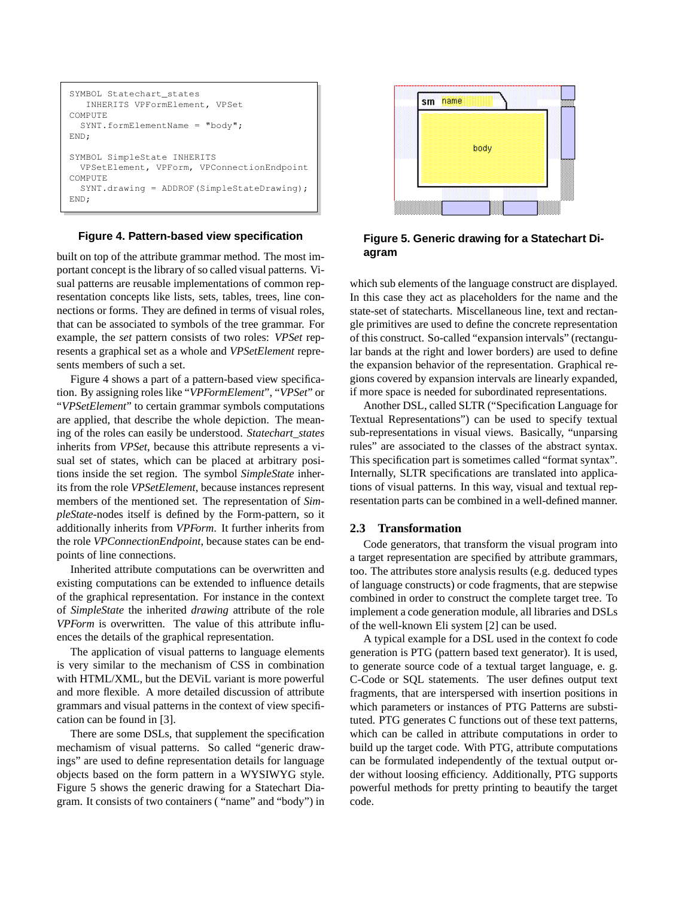```
SYMBOL Statechart_states
   INHERITS VPFormElement, VPSet
COMPUTE
  SYNT.formElementName = "body";
END;
SYMBOL SimpleState INHERITS
  VPSetElement, VPForm, VPConnectionEndpoint
COMPUTE
 SYNT.drawing = ADDROF(SimpleStateDrawing);
END;
```
#### **Figure 4. Pattern-based view specification**

built on top of the attribute grammar method. The most important concept is the library of so called visual patterns. Visual patterns are reusable implementations of common representation concepts like lists, sets, tables, trees, line connections or forms. They are defined in terms of visual roles, that can be associated to symbols of the tree grammar. For example, the *set* pattern consists of two roles: *VPSet* represents a graphical set as a whole and *VPSetElement* represents members of such a set.

Figure 4 shows a part of a pattern-based view specification. By assigning roles like "*VPFormElement*", "*VPSet*" or "*VPSetElement*" to certain grammar symbols computations are applied, that describe the whole depiction. The meaning of the roles can easily be understood. *Statechart\_states* inherits from *VPSet*, because this attribute represents a visual set of states, which can be placed at arbitrary positions inside the set region. The symbol *SimpleState* inherits from the role *VPSetElement*, because instances represent members of the mentioned set. The representation of *SimpleState*-nodes itself is defined by the Form-pattern, so it additionally inherits from *VPForm*. It further inherits from the role *VPConnectionEndpoint*, because states can be endpoints of line connections.

Inherited attribute computations can be overwritten and existing computations can be extended to influence details of the graphical representation. For instance in the context of *SimpleState* the inherited *drawing* attribute of the role *VPForm* is overwritten. The value of this attribute influences the details of the graphical representation.

The application of visual patterns to language elements is very similar to the mechanism of CSS in combination with HTML/XML, but the DEViL variant is more powerful and more flexible. A more detailed discussion of attribute grammars and visual patterns in the context of view specification can be found in [3].

There are some DSLs, that supplement the specification mechamism of visual patterns. So called "generic drawings" are used to define representation details for language objects based on the form pattern in a WYSIWYG style. Figure 5 shows the generic drawing for a Statechart Diagram. It consists of two containers ( "name" and "body") in



**Figure 5. Generic drawing for a Statechart Diagram**

which sub elements of the language construct are displayed. In this case they act as placeholders for the name and the state-set of statecharts. Miscellaneous line, text and rectangle primitives are used to define the concrete representation of this construct. So-called "expansion intervals" (rectangular bands at the right and lower borders) are used to define the expansion behavior of the representation. Graphical regions covered by expansion intervals are linearly expanded, if more space is needed for subordinated representations.

Another DSL, called SLTR ("Specification Language for Textual Representations") can be used to specify textual sub-representations in visual views. Basically, "unparsing rules" are associated to the classes of the abstract syntax. This specification part is sometimes called "format syntax". Internally, SLTR specifications are translated into applications of visual patterns. In this way, visual and textual representation parts can be combined in a well-defined manner.

#### **2.3 Transformation**

Code generators, that transform the visual program into a target representation are specified by attribute grammars, too. The attributes store analysis results (e.g. deduced types of language constructs) or code fragments, that are stepwise combined in order to construct the complete target tree. To implement a code generation module, all libraries and DSLs of the well-known Eli system [2] can be used.

A typical example for a DSL used in the context fo code generation is PTG (pattern based text generator). It is used, to generate source code of a textual target language, e. g. C-Code or SQL statements. The user defines output text fragments, that are interspersed with insertion positions in which parameters or instances of PTG Patterns are substituted. PTG generates C functions out of these text patterns, which can be called in attribute computations in order to build up the target code. With PTG, attribute computations can be formulated independently of the textual output order without loosing efficiency. Additionally, PTG supports powerful methods for pretty printing to beautify the target code.